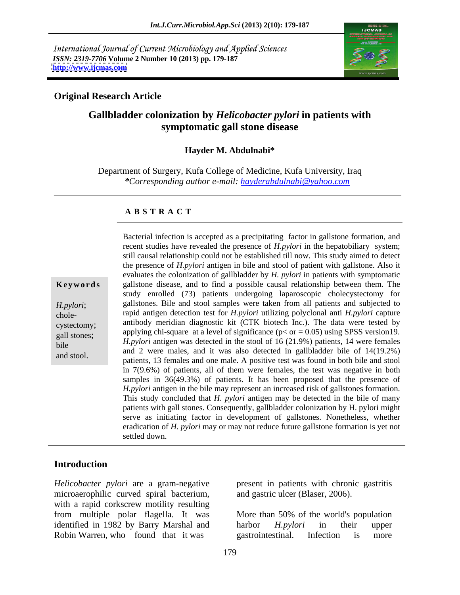International Journal of Current Microbiology and Applied Sciences *ISSN: 2319-7706* **Volume 2 Number 10 (2013) pp. 179-187 <http://www.ijcmas.com>**



### **Original Research Article**

## **Gallbladder colonization by** *Helicobacter pylori* **in patients with symptomatic gall stone disease**

### **Hayder M. Abdulnabi\***

Department of Surgery, Kufa College of Medicine, Kufa University, Iraq *\*Corresponding author e-mail: hayderabdulnabi@yahoo.com*

### **A B S T R A C T**

**Keywords** gallstone disease, and to find a possible causal relationship between them. The *H.pylori*; gallstones. Bile and stool samples were taken from all patients and subjected to chole- rapid antigen detection test for *H.pylori* utilizing polyclonal anti *H.pylori* capture cystectomy; antibody meridian diagnostic kit (CTK biotech Inc.). The data were tested by applying chi-square at a level of significance ( $p < or = 0.05$ ) using SPSS version19.  $H.pylori$  antigen was detected in the stool of 16 (21.9%) patients, 14 were females bile Bacterial infection is accepted as a precipitating factor in gallstone formation, and<br>recent studies have revealed the presence of *H,pylori* in the hepatobiliary system;<br>still causal relationship ocol the established til recent studies have revealed the presence of *H.pylori* in the hepatobiliary system; still causal relationship could not be established till now. This study aimed to detect the presence of *H.pylori* antigen in bile and stool of patient with gallstone. Also it evaluates the colonization of gallbladder by *H. pylori* in patients with symptomatic study enrolled (73) patients undergoing laparoscopic cholecystectomy for and 2 were males, and it was also detected in gallbladder bile of  $14(19.2\%)$ patients, 13 females and one male. A positive test was found in both bile and stool in 7(9.6%) of patients, all of them were females, the test was negative in both samples in 36(49.3%) of patients. It has been proposed that the presence of *H.pylori* antigen in the bile may represent an increased risk of gallstones formation. This study concluded that *H. pylori* antigen may be detected in the bile of many patients with gall stones. Consequently, gallbladder colonization by H. pylori might serve as initiating factor in development of gallstones. Nonetheless, whether eradication of *H. pylori* may or may not reduce future gallstone formation is yet not settled down.

### **Introduction**

microaerophilic curved spiral bacterium, with a rapid corkscrew motility resulting from multiple polar flagella. It was More than 50% of the world's population identified in 1982 by Barry Marshal and harbor *H.pylori* in their upper Robin Warren, who found that it was gastrointestinal. Infection is more

*Helicobacter pylori* are a gram-negative present in patients with chronic gastritis and gastric ulcer (Blaser, 2006).

> harbor *H.pylori* in their upper gastrointestinal. Infection is more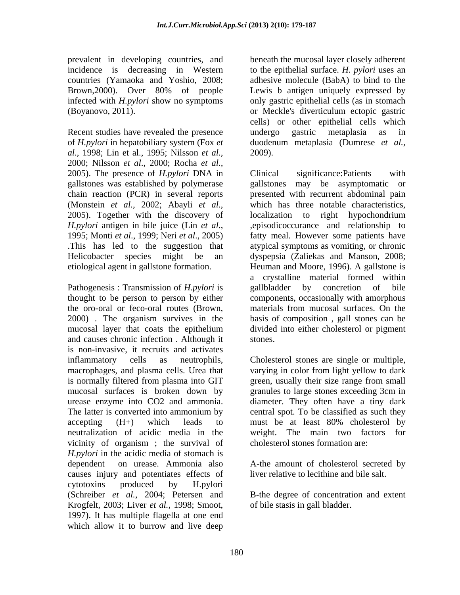countries (Yamaoka and Yoshio, 2008;

Recent studies have revealed the presence undergo gastric metaplasia as in of *H.pylori* in hepatobiliary system (Fox *et al*., 1998; Lin et al., 1995; Nilsson *et al.,* 2000; Nilsson *et al*., 2000; Rocha *et al.,* 2005). The presence of *H.pylori* DNA in chain reaction (PCR) in several reports

Pathogenesis : Transmission of *H.pylori* is gallbladder by concretion of bile and causes chronic infection . Although it is non-invasive, it recruits and activates inflammatory cells as neutrophils, Cholesterol stones are single or multiple, macrophages, and plasma cells. Urea that varying in color from light yellow to dark is normally filtered from plasma into GIT green, usually their size range from small mucosal surfaces is broken down by granules to large stones exceeding 3cm in urease enzyme into CO2 and ammonia. diameter. They often have a tiny dark The latter is converted into ammonium by central spot. To be classified as such they accepting  $(H+)$  which leads to must be at least  $80\%$  cholesterol by neutralization of acidic media in the vicinity of organism ; the survival of *H.pylori* in the acidic media of stomach is dependent on urease. Ammonia also A-the amount of cholesterol secreted by causes injury and potentiates effects of cytotoxins produced by H.pylori (Schreiber *et al.,* 2004; Petersen and B-the degree of concentration and extent Krogfelt, 2003; Liver *et al.,* 1998; Smoot, 1997). It has multiple flagella at one end which allow it to burrow and live deep

prevalent in developing countries, and beneath the mucosal layer closely adherent incidence is decreasing in Western to the epithelial surface. *H. pylori* uses an Brown, 2000). Over 80% of people Lewis b antigen uniquely expressed by infected with *H.pylori* show no symptoms only gastric epithelial cells (as in stomach (Boyanovo, 2011). or Meckle's diverticulum ectopic gastric adhesive molecule (BabA) to bind to the Lewis b antigen uniquely expressed by cells) or other epithelial cells which undergo gastric metaplasia as in duodenum metaplasia (Dumrese *et al.,* 2009).

gallstones was established by polymerase gallstones may be asymptomatic or (Monstein *et al.*, 2002; Abayli *et al.*, which has three notable characteristics, 2005). Together with the discovery of localization to right hypochondrium *H.pylori* antigen in bile juice (Lin *et al*., 1995; Monti *et al*., 1999; Neri *et al*., 2005) .This has led to the suggestion that atypical symptoms as vomiting, or chronic Helicobacter species might be an dyspepsia (Zaliekas and Manson, 2008; etiological agent in gallstone formation. Heuman and Moore, 1996). A gallstone is thought to be person to person by either components, occasionally with amorphous the oro-oral or feco-oral routes (Brown, materials from mucosal surfaces. On the 2000) . The organism survives in the basis of composition , gall stones can be mucosal layer that coats the epithelium divided into either cholesterol or pigment Clinical significance:Patients with presented with recurrent abdominal pain which has three notable characteristics, localization to right hypochondrium ,episodicoccurance and relationship to fatty meal. However some patients have a crystalline material formed within gallbladder by concretion of bile divided into either cholesterol or pigment stones.

> must be at least 80% cholesterol by The main two factors for cholesterol stones formation are:

liver relative to lecithine and bile salt.

of bile stasis in gall bladder.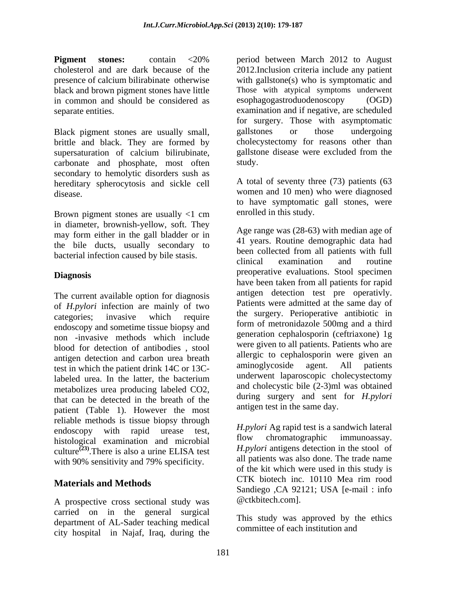in common and should be considered as esophagogastroduodenoscopy (OGD)

brittle and black. They are formed by supersaturation of calcium bilirubinate, carbonate and phosphate, most often secondary to hemolytic disorders sush as hereditary spherocytosis and sickle cell disease. women and 10 men) who were diagnosed

Brown pigment stones are usually <1 cm in diameter, brownish-yellow, soft. They may form either in the gall bladder or in the bile ducts, usually secondary to

The current available option for diagnosis of *H.pylori* infection are mainly of two categories; invasive which require the surgery. Perioperative antionic in endoscopy and sometime tissue biopsy and non -invasive methods which include blood for detection of antibodies , stool antigen detection and carbon urea breath allergic to cephalosporin were given an antigen detection and carbon urea breath allergic to cephalosporin were given and the rational content of the national content of the nationa test in which the patient drink 14C or 13Clabeled urea. In the latter, the bacterium and underwent approximate enough conservation of metabolizes urea producing labeled CO2, that can be detected in the breath of the patient (Table 1). However the most reliable methods is tissue biopsy through endoscopy with rapid urease test, *H.pylori* Agrapid test is a sandwich lateral histological examination and microbial flow chromatographic immunoassay. histological examination and microbial culture<sup> $(23)$ </sup>. There is also a urine ELISA test with 90% sensitivity and 79% specificity.

### **Materials and Methods**

A prospective cross sectional study was carried on in the general surgical department of AL-Sader teaching medical city hospital in Najaf, Iraq, during the

**Pigment stones:** contain <20% period between March 2012 to August cholesterol and are dark because of the 2012.Inclusion criteria include any patient presence of calcium bilirabinate otherwise with gallstone(s) who is symptomatic and black and brown pigment stones have little Those with atypical symptoms underwent separate entities. examination and if negative, are scheduled Black pigment stones are usually small, and gallstones or those undergoing period between March 2012 to August esophagogastroduodenoscopy for surgery. Those with asymptomatic gallstones or those undergoing cholecystectomy for reasons other than gallstone disease were excluded from the study.

> A total of seventy three (73) patients (63 to have symptomatic gall stones, were enrolled in this study.

bacterial infection caused by bile stasis.<br>
examination and routine examination and routine **Diagnosis** preoperative evaluations. Stool specimen Age range was (28-63) with median age of 41 years. Routine demographic data had been collected from all patients with full clinical examination and routine have been taken from all patients for rapid antigen detection test pre operativly. Patients were admitted at the same day of the surgery. Perioperative antibiotic in form of metronidazole 500mg and a third generation cephalosporin (ceftriaxone) 1g were given to all patients. Patients who are allergic to cephalosporin were given an aminoglycoside agent. All patients underwent laparoscopic cholecystectomy and cholecystic bile (2-3)ml was obtained during surgery and sent for *H.pylori*  antigen test in the same day.

There is also a urine ELISA test  $H.py$  and a universe detection in the stool of *H.pylori* Ag rapid test is a sandwich lateral flow chromatographic immunoassay. *H.pylori* antigens detection in the stool of all patients was also done. The trade name of the kit which were used in this study is CTK biotech inc. 10110 Mea rim rood Sandiego ,CA 92121; USA [e-mail : info @ctkbitech.com].

> This study was approved by the ethics committee of each institution and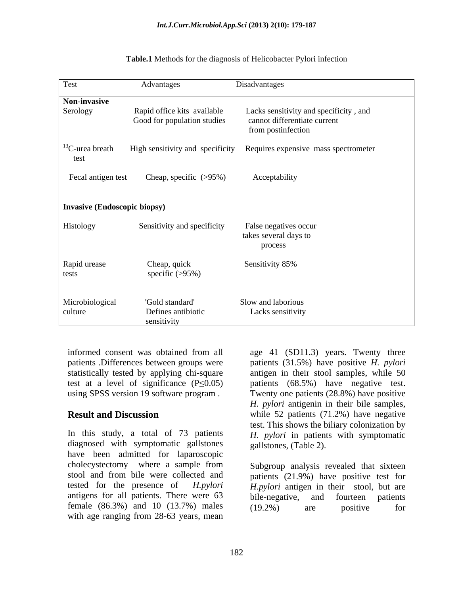| Test                            | Advantages                                                 | Disadvantages                                                          |
|---------------------------------|------------------------------------------------------------|------------------------------------------------------------------------|
| Non-invasive<br>Serology        | Rapid office kits available<br>Good for population studies | Lacks sensitivity and specificity, and<br>cannot differentiate current |
|                                 |                                                            | from postinfection                                                     |
| ${}^{13}$ C-urea breath<br>test |                                                            | High sensitivity and specificity Requires expensive mass spectrometer  |
| Fecal antigen test              | Cheap, specific (>95%)                                     | Acceptability                                                          |
| Invasive (Endoscopic biopsy)    |                                                            |                                                                        |
| Histology                       | Sensitivity and specificity                                | False negatives occur<br>takes several days to<br>process              |
| Rapid urease<br>tests           | Cheap, quick<br>specific $(>95\%)$                         | Sensitivity 85%                                                        |
| Microbiological<br>culture      | 'Gold standard'<br>Defines antibiotic<br>sensitivity       | Slow and laborious<br>Lacks sensitivity                                |

| Table.1 Method<br>s for the diagnosis of Helicobacte<br>er Pylori infection |  |
|-----------------------------------------------------------------------------|--|
|                                                                             |  |

statistically tested by applying chi-square

In this study, a total of 73 patients diagnosed with symptomatic gallstones have been admitted for laparoscopic cholecystectomy where a sample from antigens for all patients. There were 63 bile-negative, and fourteen patients female  $(86.3\%)$  and  $10$   $(13.7\%)$  males  $(19.2\%)$  are positive for with age ranging from 28-63 years, mean

informed consent was obtained from all age 41 (SD11.3) years. Twenty three patients .Differences between groups were patients (31.5%) have positive *H. pylori* test at a level of significance  $(P \le 0.05)$  patients  $(68.5%)$  have negative test. using SPSS version 19 software program . Twenty one patients (28.8%) have positive **Result and Discussion** while 52 patients (71.2%) have negative antigen in their stool samples, while 50 *H. pylori* antigenin in their bile samples, test. This shows the biliary colonization by *H. pylori* in patients with symptomatic gallstones, (Table 2).

stool and from bile were collected and patients (21.9%) have positive test for tested for the presence of *H.pylori H.pylori* antigen in their stool, but are Subgroup analysis revealed that sixteen bile-negative, and fourteen patients (19.2%) are positive for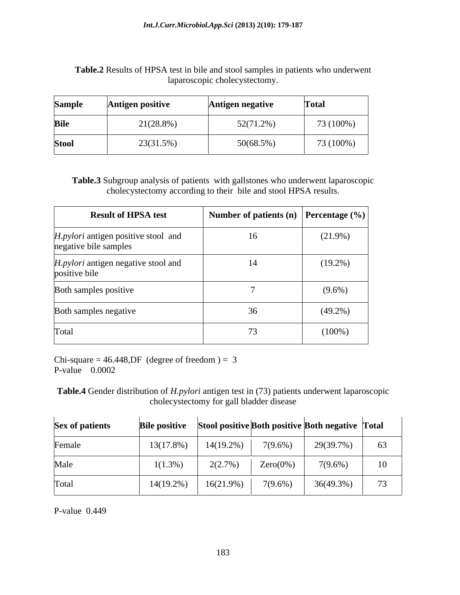| Table.<br><b>HPSA</b><br>samples in patients brand<br>A test in bile and a<br>underwent ا<br>.sults<br>stool<br>who.<br>$\sim$<br>K. |  |
|--------------------------------------------------------------------------------------------------------------------------------------|--|
| cholecystectomy<br>aparoscopic                                                                                                       |  |

| <b>Sample</b> | Antigen positive | Antigen negative | <b>Total</b> |
|---------------|------------------|------------------|--------------|
| <b>Bile</b>   | 21(28.8%)        | $52(71.2\%)$     | 73 (100%)    |
| <b>Stool</b>  | 23(31.5%)        | $50(68.5\%)$     | 73 (100%)    |

**Table.3** Subgroup analysis of patients with gallstones who underwent laparoscopic cholecystectomy according to their bile and stool HPSA results.

| <b>Result of HPSA test</b>                                   | Number of patients (n) $\left $ Percentage (%) |            |
|--------------------------------------------------------------|------------------------------------------------|------------|
| H.pylori antigen positive stool and<br>negative bile samples | 16                                             | $(21.9\%)$ |
| H.pylori antigen negative stool and<br>positive bile         | 14                                             | $(19.2\%)$ |
| Both samples positive                                        |                                                | $(9.6\%)$  |
| Both samples negative                                        | 36                                             | $(49.2\%)$ |
| Total                                                        | 73                                             | $(100\%)$  |

Chi-square =  $46.448$ , DF (degree of freedom ) = 3<br>P-value  $0.0002$ P-value  $0.0002$ 

**Table.4** Gender distribution of *H.pylori* antigen test in (73) patients underwent laparoscopic cholecystectomy for gall bladder disease

| <b>Sex of patients</b> |            |              |             | <b>Bile positive</b> Stool positive Both positive Both negative Total |    |
|------------------------|------------|--------------|-------------|-----------------------------------------------------------------------|----|
| Female                 | 13(17.8%)  | $14(19.2\%)$ | $7(9.6\%)$  | 29(39.7%)                                                             | 63 |
| Male                   | $1(1.3\%)$ | 2(2.7%)      | $Zero(0\%)$ | $7(9.6\%)$                                                            | 10 |
| Total                  | (4(19.2%)  | $16(21.9\%)$ | $7(9.6\%$   | $36(49.3\%)$                                                          | 73 |

P-value 0.449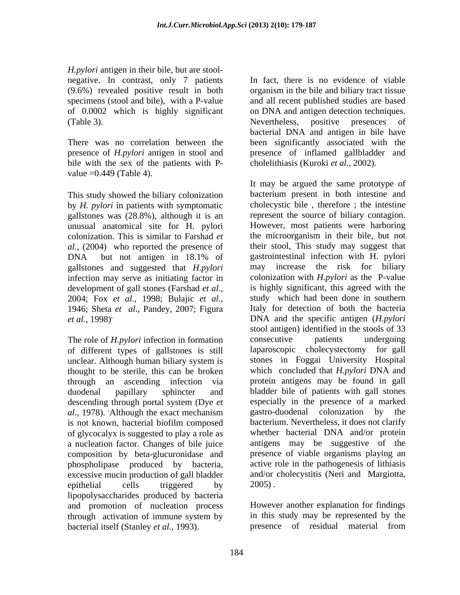*H.pylori* antigen in their bile, but are stool negative. In contrast, only 7 patients

bile with the sex of the patients with P value =0.449 (Table 4).

This study showed the biliary colonization by *H. pylori* in patients with symptomatic gallstones was (28.8%), although it is an unusual anatomical site for H. pylori gallstones and suggested that *H.pylori*  infection may serve as initiating factor in 1946; Sheta *et al*., Pandey, 2007; Figura

of different types of gallstones is still unclear. Although human biliary system is thought to be sterile, this can be broken *al.*, 1978). Although the exact mechanism gastro-duodenal colonization by the is not known, bacterial biofilm composed of glycocalyx is suggested to play a role as a nucleation factor. Changes of bile juice composition by beta-glucuronidase and phospholipase produced by bacteria, excessive mucin production of gall bladder epithelial cells triggered by  $2005$ . lipopolysaccharides produced by bacteria and promotion of nucleation process through activation of immune system by bacterial itself (Stanley *et al.,* 1993).

(9.6%) revealed positive result in both organism in the bile and biliary tract tissue specimens (stool and bile), with a P-value and all recent published studies are based of 0.0002 which is highly significant on DNA and antigen detection techniques. (Table 3). Nevertheless, positive presences of There was no correlation between the been significantly associated with the presence of *H.pylori* antigen in stool and presence of inflamed gallbladder and In fact, there is no evidence of viable Nevertheless, positive presences of bacterial DNA and antigen in bile have cholelithiasis (Kuroki *et al*., 2002).

colonization. This is similar to Farshad *et*  the microorganism in their bile, but not *al.,* (2004) who reported the presence of their stool, This study may suggest that DNA but not antigen in 18.1% of gastrointestinal infection with H. pylori development of gall stones (Farshad *et al*., 2004; Fox *et al*., 1998; Bulajic *et al., et al.,* 1998)**.** DNA and the specific antigen (*H.pylori*  The role of *H.pylori* infection in formation consecutive patients undergoing through an ascending infection via protein antigens may be found in gall duodenal papillary sphincter and bladder bile of patients with gall stones descending through portal system (Dye *et*  **.**Although the exact mechanism It may be argued the same prototype of bacterium present in both intestine and cholecystic bile , therefore ; the intestine represent the source of biliary contagion. However, most patients were harboring gastrointestinal infection with H. pylori may increase the risk for biliary colonization with *H.pylori* as the P-value is highly significant, this agreed with the study which had been done in southern Italy for detection of both the bacteria stool antigen) identified in the stools of 33 consecutive patients undergoing cholecystectomy for gall stones in Foggai University Hospital which concluded that *H.pylori* DNA and especially in the presence of a marked gastro-duodenal colonization by bacterium. Nevertheless, it does not clarify whether bacterial DNA and/or protein antigens may be suggestive of the presence of viable organisms playing an active role in the pathogenesis of lithiasis and/or cholecystitis (Neri and Margiotta, 2005) .

> However another explanation for findings in this study may be represented by the presence of residual material from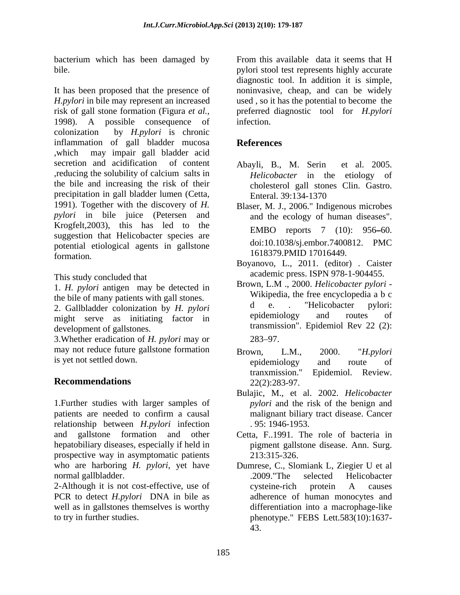bacterium which has been damaged by

It has been proposed that the presence of noninvasive, cheap, and can be widely *H.pylori* in bile may represent an increased used, so it has the potential to become the risk of gall stone formation (Figura *et al.*, preferred diagnostic tool for *H.pylori proferred* 1998). A possible consequence of colonization by *H.pylori* is chronic inflammation of gall bladder mucosa<br>References ,which may impair gall bladder acid secretion and acidification of content Abayli, B., M. Serin et al. 2005. ,reducing the solubility of calcium salts in the bile and increasing the risk of their cholesterol gall stones Clin. Gastro. precipitation in gall bladder lumen (Cetta, Enteral, 39:134-1370) 1991). Together with the discovery of *H. pylori* in bile juice (Petersen and Krogfelt,2003), this has led to the suggestion that Helicobacter species are potential etiological agents in gallstone formation. 1018379.PMID 17010449.

This study concluded that

1. *H. pylori* antigen may be detected in the bile of many patients with gall stones.<br>  $\begin{array}{ccc}\n\bullet & \bullet & \bullet \\
\bullet & \bullet & \bullet\n\end{array}$ <br>  $\begin{array}{ccc}\n\bullet & \bullet & \bullet \\
\bullet & \bullet & \bullet\n\end{array}$ <br>  $\begin{array}{ccc}\n\bullet & \bullet & \bullet \\
\bullet & \bullet & \bullet\n\end{array}$ <br>  $\begin{array}{ccc}\n\bullet & \bullet & \bullet \\
\bullet & \bullet & \bullet\n\end{array}$ 2. Gallbladder colonization by *H. pylori* dec. The incobacter pylori:<br>might serve as initiating factor in epidemiology and routes of might serve as initiating factor in development of gallstones.

3.Whether eradication of *H. pylori* may or may not reduce future gallstone formation Brown, L.M., 2000. "H.pylori is yet not settled down. <br>
epidemiology and route of

1.Further studies with larger samples of patients are needed to confirm a causal malignant biliary tract disease. Cancer relationship between *H.pylori* infection and gallstone formation and other Cetta, F..1991. The role of bacteria in hepatobiliary diseases, especially if held in prospective way in asymptomatic patients 213:315-326. who are harboring *H. pylori*, yet have normal gallbladder. The selected Helicobacter and the selected Helicobacter

2-Although it is not cost-effective, use of cysteine-rich protein A causes PCR to detect *H.pylori* DNA in bile as well as in gallstones themselves is worthy

bile. pylori stool test represents highly accurate From this available data it seems that H diagnostic tool. In addition it is simple, infection.

# **References**

- Abayli, B., M. Serin et al. 2005. *Helicobacter* in the etiology of Enteral. 39:134-1370
- Blaser, M. J., 2006." Indigenous microbes and the ecology of human diseases". EMBO reports 7 (10): 956–60. doi:10.1038/sj.embor.7400812. PMC 1618379.PMID 17016449.
- Boyanovo, L., 2011. (editor) . Caister academic press. ISPN 978-1-904455.
- Brown, L.M ., 2000. *Helicobacter pylori* Wikipedia, the free encyclopedia a b c d e. . "Helicobacter pylori: epidemiology and routes of transmission". Epidemiol Rev 22 (2):  $283 - 97.$
- **Recommendations** 22(2):283-97. Brown, L.M., 2000. "*H.pylori*  epidemiology and route of tranxmission." Epidemiol. Review. 22(2):283-97.
	- Bulajic, M., et al. 2002. *Helicobacter pylori* and the risk of the benign and malignant biliary tract disease. Cancer . 95: 1946-1953.
	- pigment gallstone disease. Ann. Surg. 213:315-326.
- to try in further studies. phenotype." FEBS Lett.583(10):1637- Dumrese, C., Slomiank L, Ziegier U et al .2009."The selected Helicobacter cysteine-rich protein A causes adherence of human monocytes and differentiation into a macrophage-like 43.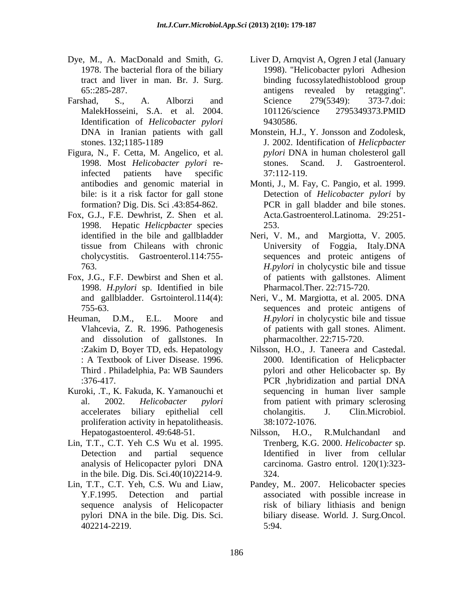- tract and liver in man. Br. J. Surg. binding fi<br>65::285-287. antigens
- Identification of *Helicobacter pylori*
- Figura, N., F. Cetta, M. Angelico, et al. bile: is it a risk factor for gall stone formation? Dig. Dis. Sci .43:854-862.
- Fox, G.J., F.E. Dewhrist, Z. Shen et al. 1998. Hepatic *Helicpbacter* species
- Fox, J.G., F.F. Dewbirst and Shen et al. 1998. *H.pylori* sp. Identified in bile
- and dissolution of gallstones. In
- Kuroki, .T., K. Fakuda, K. Yamanouchi et proliferation activity in hepatolitheasis.
- Lin, T.T., C.T. Yeh C.S Wu et al. 1995. in the bile. Dig. Dis. Sci.40(10)2214-9.
- 402214-2219.
- Dye, M., A. MacDonald and Smith, G. Liver D, Arnqvist A, Ogren J etal (January 1978. The bacterial flora of the biliary 1998). "Helicobacter pylori Adhesion 65::285-287. **antigens** revealed by retagging". Farshad, S., A. Alborzi and Science 279(5349): 373-7.doi: MalekHosseini, S.A. et al. 2004. binding fucossylatedhistoblood group antigens revealed by retagging". Science 279(5349): 373-7.doi: 101126/science 2795349373.PMID 9430586.
	- DNA in Iranian patients with gall Monstein, H.J., Y. Jonsson and Zodolesk, stones. 132;1185-1189 J. 2002. Identification of *Helicpbacter* 1998. Most *Helicobacter pylori* reinfected patients have specific *pylori* DNA in human cholesterol gall stones. Scand. J. Gastroenterol. 37:112-119.
	- antibodies and genomic material in Monti, J., M. Fay, C. Pangio, et al. 1999. Detection of *Helicobacter pylori* by PCR in gall bladder and bile stones. Acta.Gastroenterol.Latinoma. 29:251- 253.
	- identified in the bile and gallbladder Neri, V. M., and Margiotta, V. 2005. tissue from Chileans with chronic cholycystitis. Gastroenterol.114:755- sequences and proteic antigens of 763. *H.pylori* in cholycystic bile and tissue University of Foggia, Italy.DNA of patients with gallstones. Aliment Pharmacol.Ther. 22:715-720.
- and gallbladder. Gsrtointerol.114(4): Neri, V., M. Margiotta, et al. 2005. DNA 755-63. sequences and proteic antigens of Heuman, D.M., E.L. Moore and *H.pylori* in cholycystic bile and tissue Vlahcevia, Z. R. 1996. Pathogenesis of patients with gall stones. Aliment. pharmacolther. 22:715-720.
	- :Zakim D, Boyer TD, eds. Hepatology Nilsson, H.O., J. Taneera and Castedal. : A Textbook of Liver Disease. 1996. 2000. Identification of Helicpbacter Third . Philadelphia, Pa: WB Saunders pylori and other Helicobacter sp. By :376-417. PCR hybridization and partial DNA al. 2002. *Helicobacter pylori* from patient with primary sclerosing accelerates biliary epithelial cell cholangitis. J. Clin.Microbiol. PCR ,hybridization and partial DNA sequencing in human liver sample cholangitis. J. Clin.Microbiol. 38:1072-1076.
	- Hepatogastoenterol. 49:648-51. Nilsson, H.O., R.Mulchandanl and Detection and partial sequence Identified in liver from cellular analysis of Helicopacter pylori DNA Nilsson, H.O., R.Mulchandanl and Trenberg, K.G. 2000. *Helicobacter* sp. Identified in liver from cellular carcinoma. Gastro entrol. 120(1):323- 324.
- Lin, T.T., C.T. Yeh, C.S. Wu and Liaw, Pandey, M.. 2007. Helicobacter species Y.F.1995. Detection and partial associated with possible increase in sequence analysis of Helicopacter risk of biliary lithiasis and benign pylori DNA in the bile. Dig. Dis. Sci. biliary disease. World. J. Surg.Oncol. 5:94.